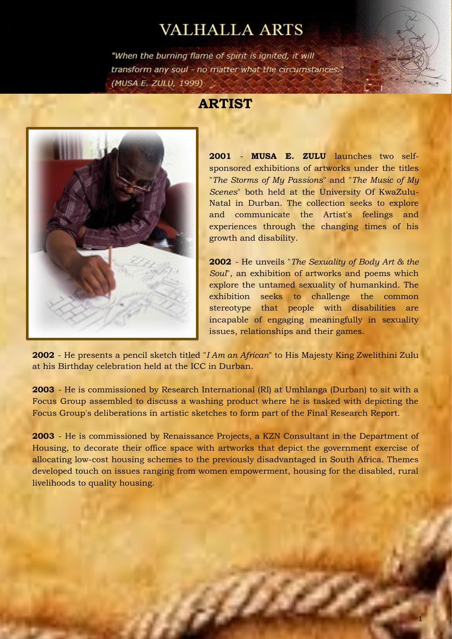## **VALHALLA ARTS**

"When the burning flame of spirit is ignited, it will transform any soul - no matter what the circumstances." (MUSA E. ZULU, 1999)

## **ARTIST**



**2001** - **MUSA E. ZULU** launches two selfsponsored exhibitions of artworks under the titles "*The Storms of My Passions*" and "*The Music of My Scenes*" both held at the University Of KwaZulu-Natal in Durban. The collection seeks to explore and communicate the Artist's feelings and experiences through the changing times of his growth and disability.

**2002** - He unveils "*The Sexuality of Body Art & the Soul*", an exhibition of artworks and poems which explore the untamed sexuality of humankind. The exhibition seeks to challenge the common stereotype that people with disabilities are incapable of engaging meaningfully in sexuality issues, relationships and their games.

**2002** - He presents a pencil sketch titled "*I Am an African*" to His Majesty King Zwelithini Zulu at his Birthday celebration held at the ICC in Durban.

**2003** - He is commissioned by Research International (RI) at Umhlanga (Durban) to sit with a Focus Group assembled to discuss a washing product where he is tasked with depicting the Focus Group's deliberations in artistic sketches to form part of the Final Research Report.

**2003** - He is commissioned by Renaissance Projects, a KZN Consultant in the Department of Housing, to decorate their office space with artworks that depict the government exercise of allocating low-cost housing schemes to the previously disadvantaged in South Africa. Themes developed touch on issues ranging from women empowerment, housing for the disabled, rural livelihoods to quality housing.

e Chil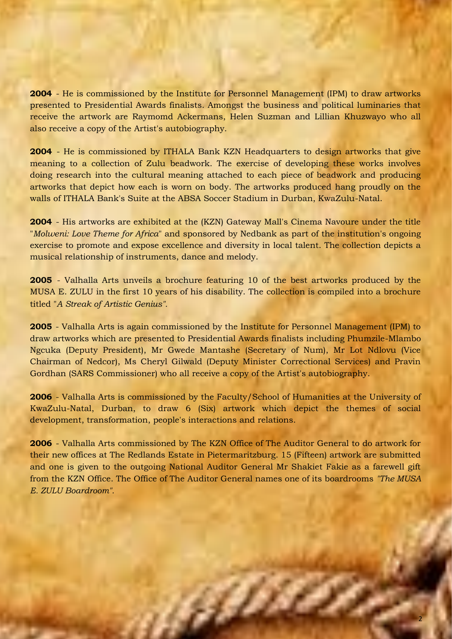**2004** - He is commissioned by the Institute for Personnel Management (IPM) to draw artworks presented to Presidential Awards finalists. Amongst the business and political luminaries that receive the artwork are Raymomd Ackermans, Helen Suzman and Lillian Khuzwayo who all also receive a copy of the Artist's autobiography.

**2004** - He is commissioned by ITHALA Bank KZN Headquarters to design artworks that give meaning to a collection of Zulu beadwork. The exercise of developing these works involves doing research into the cultural meaning attached to each piece of beadwork and producing artworks that depict how each is worn on body. The artworks produced hang proudly on the walls of ITHALA Bank's Suite at the ABSA Soccer Stadium in Durban, KwaZulu-Natal.

**2004** - His artworks are exhibited at the (KZN) Gateway Mall's Cinema Navoure under the title "*Molweni: Love Theme for Africa*" and sponsored by Nedbank as part of the institution's ongoing exercise to promote and expose excellence and diversity in local talent. The collection depicts a musical relationship of instruments, dance and melody.

**2005** - Valhalla Arts unveils a brochure featuring 10 of the best artworks produced by the MUSA E. ZULU in the first 10 years of his disability. The collection is compiled into a brochure titled "*A Streak of Artistic Genius".* 

**2005** - Valhalla Arts is again commissioned by the Institute for Personnel Management (IPM) to draw artworks which are presented to Presidential Awards finalists including Phumzile-Mlambo Ngcuka (Deputy President), Mr Gwede Mantashe (Secretary of Num), Mr Lot Ndlovu (Vice Chairman of Nedcor), Ms Cheryl Gilwald (Deputy Minister Correctional Services) and Pravin Gordhan (SARS Commissioner) who all receive a copy of the Artist's autobiography.

**2006** - Valhalla Arts is commissioned by the Faculty/School of Humanities at the University of KwaZulu-Natal, Durban, to draw 6 (Six) artwork which depict the themes of social development, transformation, people's interactions and relations.

**2006** - Valhalla Arts commissioned by The KZN Office of The Auditor General to do artwork for their new offices at The Redlands Estate in Pietermaritzburg. 15 (Fifteen) artwork are submitted and one is given to the outgoing National Auditor General Mr Shakiet Fakie as a farewell gift from the KZN Office. The Office of The Auditor General names one of its boardrooms *"The MUSA E. ZULU Boardroom".*

a Biblio